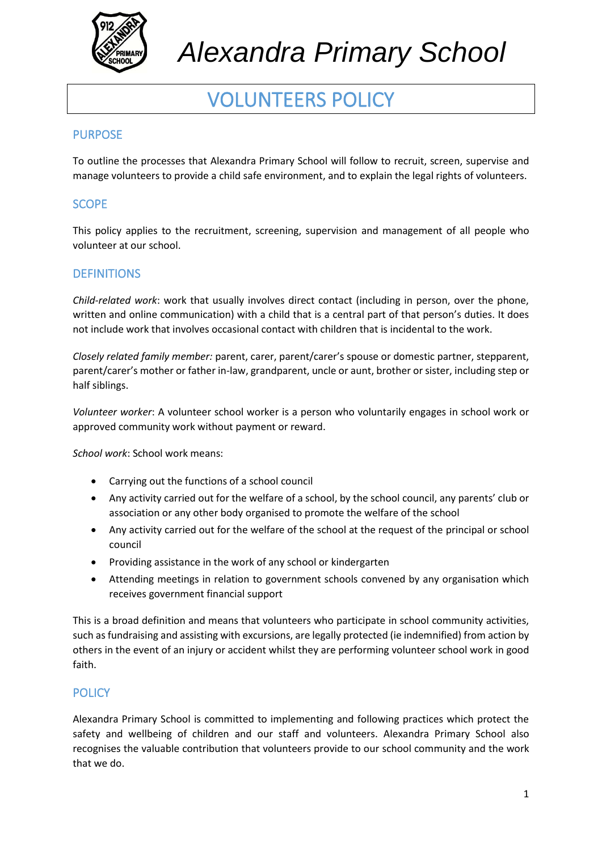

### VOLUNTEERS POLICY

### PURPOSE

To outline the processes that Alexandra Primary School will follow to recruit, screen, supervise and manage volunteers to provide a child safe environment, and to explain the legal rights of volunteers.

#### **SCOPE**

This policy applies to the recruitment, screening, supervision and management of all people who volunteer at our school.

#### **DEFINITIONS**

*Child-related work*: work that usually involves direct contact (including in person, over the phone, written and online communication) with a child that is a central part of that person's duties. It does not include work that involves occasional contact with children that is incidental to the work.

*Closely related family member:* parent, carer, parent/carer's spouse or domestic partner, stepparent, parent/carer's mother or father in-law, grandparent, uncle or aunt, brother or sister, including step or half siblings.

*Volunteer worker*: A volunteer school worker is a person who voluntarily engages in school work or approved community work without payment or reward.

*School work*: School work means:

- Carrying out the functions of a school council
- Any activity carried out for the welfare of a school, by the school council, any parents' club or association or any other body organised to promote the welfare of the school
- Any activity carried out for the welfare of the school at the request of the principal or school council
- Providing assistance in the work of any school or kindergarten
- Attending meetings in relation to government schools convened by any organisation which receives government financial support

This is a broad definition and means that volunteers who participate in school community activities, such as fundraising and assisting with excursions, are legally protected (ie indemnified) from action by others in the event of an injury or accident whilst they are performing volunteer school work in good faith.

#### **POLICY**

Alexandra Primary School is committed to implementing and following practices which protect the safety and wellbeing of children and our staff and volunteers. Alexandra Primary School also recognises the valuable contribution that volunteers provide to our school community and the work that we do.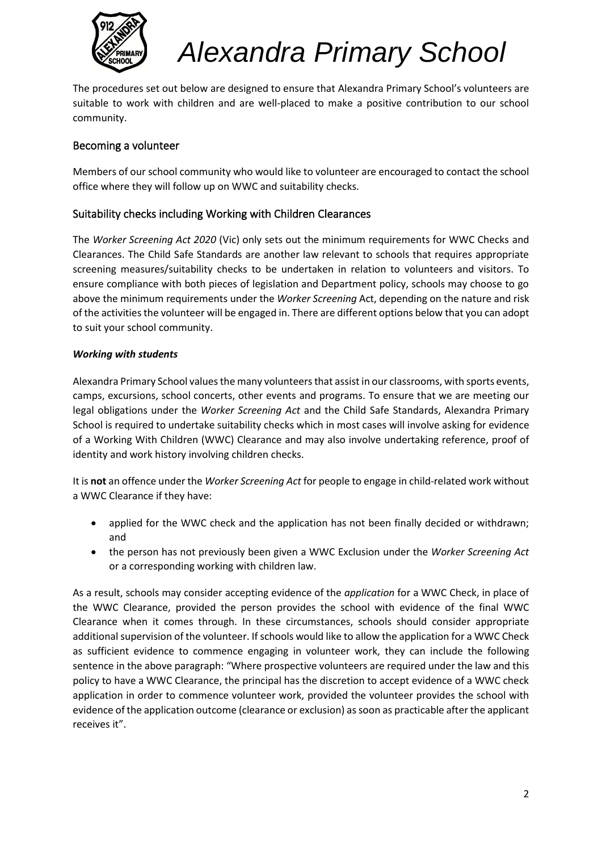

The procedures set out below are designed to ensure that Alexandra Primary School's volunteers are suitable to work with children and are well-placed to make a positive contribution to our school community.

#### Becoming a volunteer

Members of our school community who would like to volunteer are encouraged to contact the school office where they will follow up on WWC and suitability checks.

#### Suitability checks including Working with Children Clearances

The *Worker Screening Act 2020* (Vic) only sets out the minimum requirements for WWC Checks and Clearances. The Child Safe Standards are another law relevant to schools that requires appropriate screening measures/suitability checks to be undertaken in relation to volunteers and visitors. To ensure compliance with both pieces of legislation and Department policy, schools may choose to go above the minimum requirements under the *Worker Screening* Act, depending on the nature and risk of the activities the volunteer will be engaged in. There are different options below that you can adopt to suit your school community.

#### *Working with students*

Alexandra Primary School values the many volunteersthat assist in our classrooms, with sports events, camps, excursions, school concerts, other events and programs. To ensure that we are meeting our legal obligations under the *Worker Screening Act* and the Child Safe Standards, Alexandra Primary School is required to undertake suitability checks which in most cases will involve asking for evidence of a Working With Children (WWC) Clearance and may also involve undertaking reference, proof of identity and work history involving children checks.

It is **not** an offence under the *Worker Screening Act* for people to engage in child-related work without a WWC Clearance if they have:

- applied for the WWC check and the application has not been finally decided or withdrawn; and
- the person has not previously been given a WWC Exclusion under the *Worker Screening Act* or a corresponding working with children law.

As a result, schools may consider accepting evidence of the *application* for a WWC Check, in place of the WWC Clearance, provided the person provides the school with evidence of the final WWC Clearance when it comes through. In these circumstances, schools should consider appropriate additional supervision of the volunteer. If schools would like to allow the application for a WWC Check as sufficient evidence to commence engaging in volunteer work, they can include the following sentence in the above paragraph: "Where prospective volunteers are required under the law and this policy to have a WWC Clearance, the principal has the discretion to accept evidence of a WWC check application in order to commence volunteer work, provided the volunteer provides the school with evidence of the application outcome (clearance or exclusion) as soon as practicable after the applicant receives it".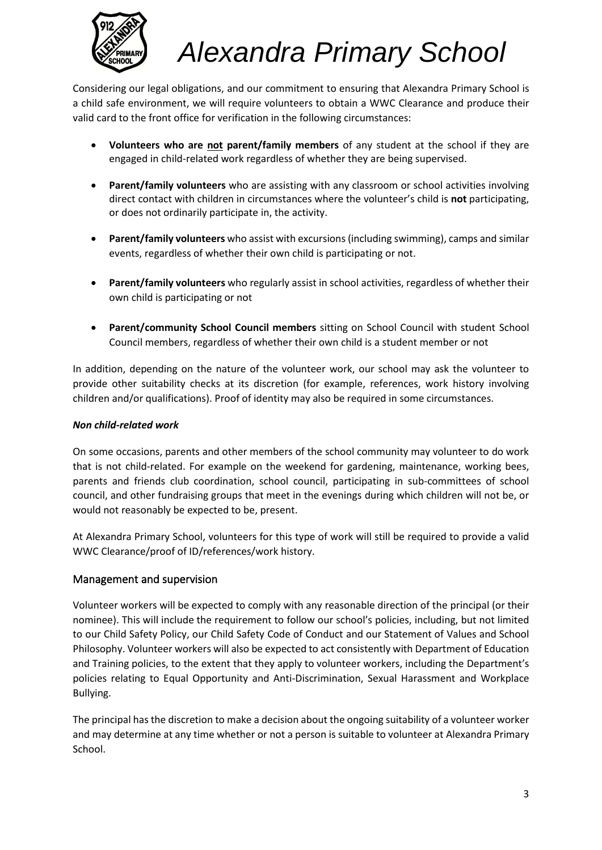

Considering our legal obligations, and our commitment to ensuring that Alexandra Primary School is a child safe environment, we will require volunteers to obtain a WWC Clearance and produce their valid card to the front office for verification in the following circumstances:

- **Volunteers who are not parent/family members** of any student at the school if they are engaged in child-related work regardless of whether they are being supervised.
- **Parent/family volunteers** who are assisting with any classroom or school activities involving direct contact with children in circumstances where the volunteer's child is **not** participating, or does not ordinarily participate in, the activity.
- **Parent/family volunteers** who assist with excursions (including swimming), camps and similar events, regardless of whether their own child is participating or not.
- **Parent/family volunteers** who regularly assist in school activities, regardless of whether their own child is participating or not
- **Parent/community School Council members** sitting on School Council with student School Council members, regardless of whether their own child is a student member or not

In addition, depending on the nature of the volunteer work, our school may ask the volunteer to provide other suitability checks at its discretion (for example, references, work history involving children and/or qualifications). Proof of identity may also be required in some circumstances.

#### *Non child-related work*

On some occasions, parents and other members of the school community may volunteer to do work that is not child-related. For example on the weekend for gardening, maintenance, working bees, parents and friends club coordination, school council, participating in sub-committees of school council, and other fundraising groups that meet in the evenings during which children will not be, or would not reasonably be expected to be, present.

At Alexandra Primary School, volunteers for this type of work will still be required to provide a valid WWC Clearance/proof of ID/references/work history.

#### Management and supervision

Volunteer workers will be expected to comply with any reasonable direction of the principal (or their nominee). This will include the requirement to follow our school's policies, including, but not limited to our Child Safety Policy, our Child Safety Code of Conduct and our Statement of Values and School Philosophy. Volunteer workers will also be expected to act consistently with Department of Education and Training policies, to the extent that they apply to volunteer workers, including the Department's policies relating to Equal Opportunity and Anti-Discrimination, Sexual Harassment and Workplace Bullying.

The principal has the discretion to make a decision about the ongoing suitability of a volunteer worker and may determine at any time whether or not a person is suitable to volunteer at Alexandra Primary School.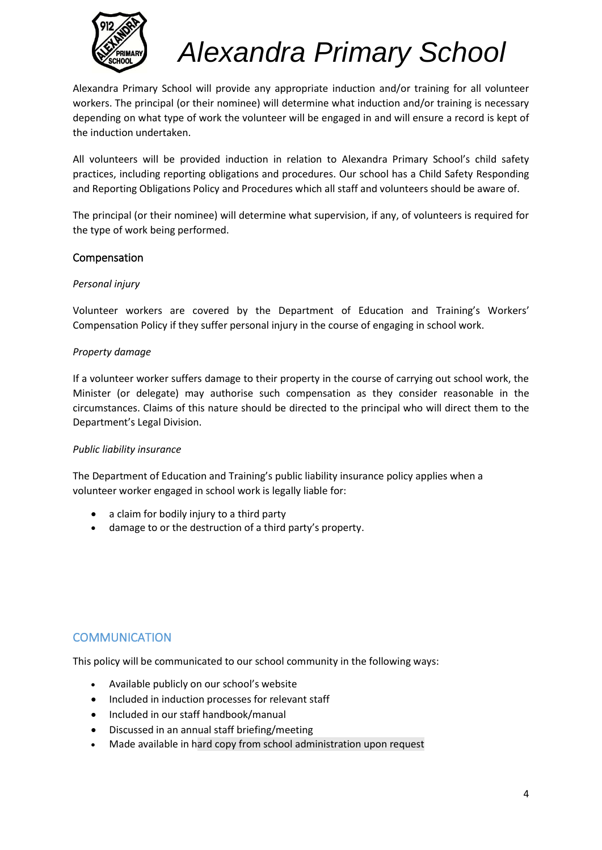

Alexandra Primary School will provide any appropriate induction and/or training for all volunteer workers. The principal (or their nominee) will determine what induction and/or training is necessary depending on what type of work the volunteer will be engaged in and will ensure a record is kept of the induction undertaken.

All volunteers will be provided induction in relation to Alexandra Primary School's child safety practices, including reporting obligations and procedures. Our school has a Child Safety Responding and Reporting Obligations Policy and Procedures which all staff and volunteers should be aware of.

The principal (or their nominee) will determine what supervision, if any, of volunteers is required for the type of work being performed.

#### Compensation

#### *Personal injury*

Volunteer workers are covered by the Department of Education and Training's Workers' Compensation Policy if they suffer personal injury in the course of engaging in school work.

#### *Property damage*

If a volunteer worker suffers damage to their property in the course of carrying out school work, the Minister (or delegate) may authorise such compensation as they consider reasonable in the circumstances. Claims of this nature should be directed to the principal who will direct them to the Department's Legal Division.

#### *Public liability insurance*

The Department of Education and Training's public liability insurance policy applies when a volunteer worker engaged in school work is legally liable for:

- a claim for bodily injury to a third party
- damage to or the destruction of a third party's property.

#### **COMMUNICATION**

This policy will be communicated to our school community in the following ways:

- Available publicly on our school's website
- Included in induction processes for relevant staff
- Included in our staff handbook/manual
- Discussed in an annual staff briefing/meeting
- Made available in hard copy from school administration upon request